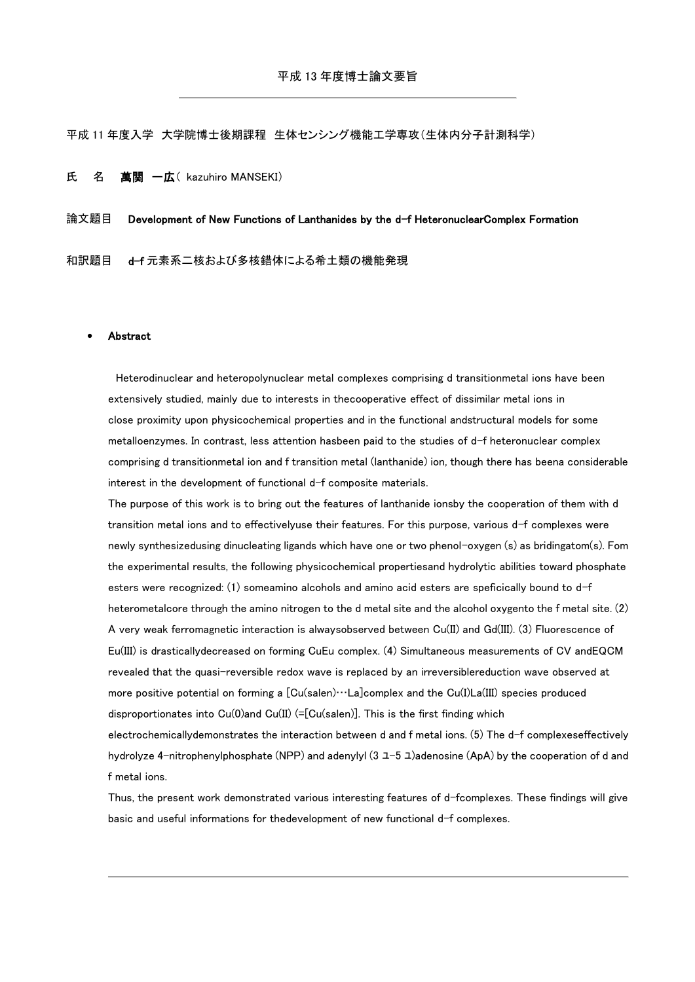平成 11 年度入学 大学院博士後期課程 生体センシング機能工学専攻(生体内分子計測科学)

# 氏 名 萬関 一広 (kazuhiro MANSEKI)

## 論文題目 Development of New Functions of Lanthanides by the d-f HeteronuclearComplex Formation

和訳題目 d-f 元素系二核および多核錯体による希土類の機能発現

#### Abstract

Heterodinuclear and heteropolynuclear metal complexes comprising d transitionmetal ions have been extensively studied, mainly due to interests in thecooperative effect of dissimilar metal ions in close proximity upon physicochemical properties and in the functional andstructural models for some metalloenzymes. In contrast, less attention hasbeen paid to the studies of d-f heteronuclear complex comprising d transitionmetal ion and f transition metal (lanthanide) ion, though there has beena considerable interest in the development of functional d-f composite materials.

The purpose of this work is to bring out the features of lanthanide ionsby the cooperation of them with d transition metal ions and to effectivelyuse their features. For this purpose, various d-f complexes were newly synthesizedusing dinucleating ligands which have one or two phenol-oxygen (s) as bridingatom(s). Fom the experimental results, the following physicochemical propertiesand hydrolytic abilities toward phosphate esters were recognized: (1) someamino alcohols and amino acid esters are speficically bound to d-f heterometalcore through the amino nitrogen to the d metal site and the alcohol oxygento the f metal site. (2) A very weak ferromagnetic interaction is alwaysobserved between Cu(II) and Gd(III). (3) Fluorescence of Eu(III) is drasticallydecreased on forming CuEu complex. (4) Simultaneous measurements of CV andEQCM revealed that the quasi-reversible redox wave is replaced by an irreversiblereduction wave observed at more positive potential on forming a [Cu(salen)…La]complex and the Cu(I)La(III) species produced disproportionates into  $Cu(0)$  and  $Cu(II)$  (=[Cu(salen)]. This is the first finding which

electrochemicallydemonstrates the interaction between d and f metal ions. (5) The d-f complexeseffectively hydrolyze 4-nitrophenylphosphate (NPP) and adenylyl (3  $\perp$ -5  $\perp$ )adenosine (ApA) by the cooperation of d and f metal ions.

Thus, the present work demonstrated various interesting features of d-fcomplexes. These findings will give basic and useful informations for thedevelopment of new functional d-f complexes.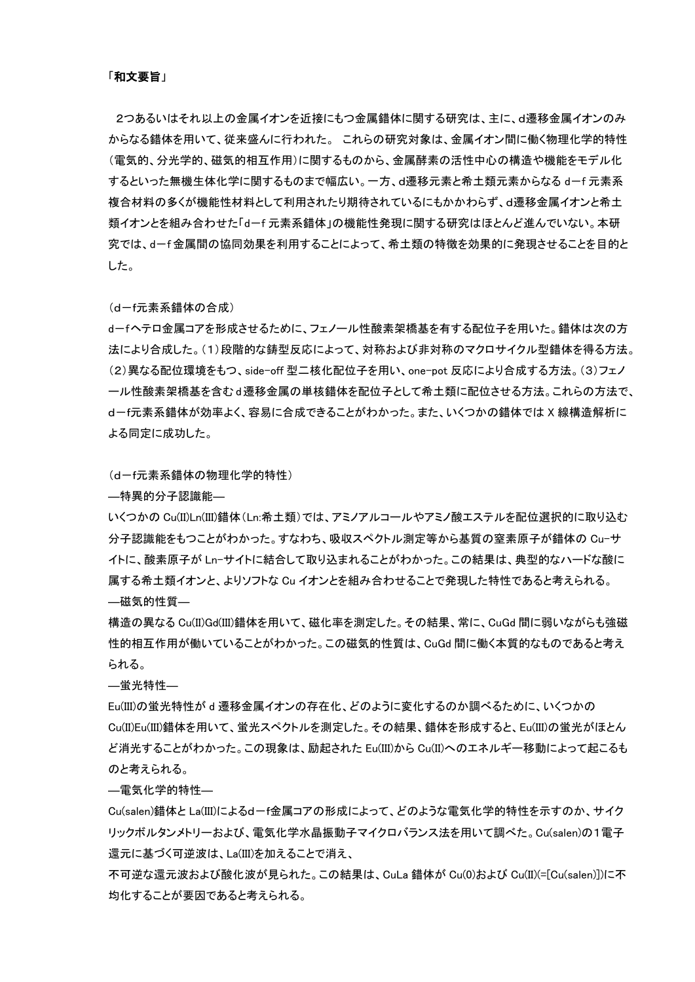2つあるいはそれ以上の金属イオンを近接にもつ金属錯体に関する研究は、主に、d遷移金属イオンのみ からなる錯体を用いて、従来盛んに行われた。 これらの研究対象は、金属イオン間に働く物理化学的特性 (電気的、分光学的、磁気的相互作用)に関するものから、金属酵素の活性中心の構造や機能をモデル化 するといった無機生体化学に関するものまで幅広い。一方、d遷移元素と希土類元素からなる d-f 元素系 複合材料の多くが機能性材料として利用されたり期待されているにもかかわらず、d遷移金属イオンと希土 類イオンとを組み合わせた「d-f 元素系錯体」の機能性発現に関する研究はほとんど進んでいない。本研 究では、d-f 金属間の協同効果を利用することによって、希土類の特徴を効果的に発現させることを目的と した。

### (d-f元素系錯体の合成)

d-fヘテロ金属コアを形成させるために、フェノール性酸素架橋基を有する配位子を用いた。錯体は次の方 法により合成した。(1)段階的な鋳型反応によって、対称および非対称のマクロサイクル型錯体を得る方法。 (2)異なる配位環境をもつ、side-off 型二核化配位子を用い、one-pot 反応により合成する方法。(3)フェノ ール性酸素架橋基を含むd遷移金属の単核錯体を配位子として希土類に配位させる方法。これらの方法で、 d-f元素系錯体が効率よく、容易に合成できることがわかった。また、いくつかの錯体では X 線構造解析に よる同定に成功した。

# (d-f元素系錯体の物理化学的特性)

―特異的分子認識能―

いくつかの Cu(II)Ln(III)錯体(Ln:希土類)では、アミノアルコールやアミノ酸エステルを配位選択的に取り込む 分子認識能をもつことがわかった。すなわち、吸収スペクトル測定等から基質の窒素原子が錯体の Cu-サ イトに、酸素原子が Ln-サイトに結合して取り込まれることがわかった。この結果は、典型的なハードな酸に 属する希土類イオンと、よりソフトな Cu イオンとを組み合わせることで発現した特性であると考えられる。 ―磁気的性質―

構造の異なる Cu(II)Gd(III)錯体を用いて、磁化率を測定した。その結果、常に、CuGd 間に弱いながらも強磁 性的相互作用が働いていることがわかった。この磁気的性質は、CuGd 間に働く本質的なものであると考え られる。

―蛍光特性―

Eu(III)の蛍光特性が d 遷移金属イオンの存在化、どのように変化するのか調べるために、いくつかの Cu(II)Eu(III)錯体を用いて、蛍光スペクトルを測定した。その結果、錯体を形成すると、Eu(III)の蛍光がほとん ど消光することがわかった。この現象は、励起された Eu(III)から Cu(II)へのエネルギー移動によって起こるも のと考えられる。

―電気化学的特性―

Cu(salen)錯体と La(III)によるd-f金属コアの形成によって、どのような電気化学的特性を示すのか、サイク リックボルタンメトリーおよび、電気化学水晶振動子マイクロバランス法を用いて調べた。Cu(salen)の1電子 還元に基づく可逆波は、La(III)を加えることで消え、

不可逆な還元波および酸化波が見られた。この結果は、CuLa 錯体が Cu(0)および Cu(II)(=[Cu(salen)])に不 均化することが要因であると考えられる。